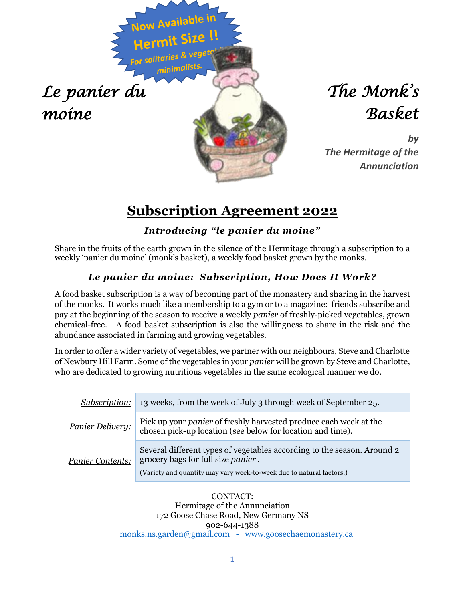

# *The Monk's Basket*

*by The Hermitage of the Annunciation*

### **Subscription Agreement 2022**

### *Introducing "le panier du moine"*

Share in the fruits of the earth grown in the silence of the Hermitage through a subscription to a weekly 'panier du moine' (monk's basket), a weekly food basket grown by the monks.

#### *Le panier du moine: Subscription, How Does It Work?*

A food basket subscription is a way of becoming part of the monastery and sharing in the harvest of the monks. It works much like a membership to a gym or to a magazine: friends subscribe and pay at the beginning of the season to receive a weekly *panier* of freshly-picked vegetables, grown chemical-free. A food basket subscription is also the willingness to share in the risk and the abundance associated in farming and growing vegetables.

In order to offer a wider variety of vegetables, we partner with our neighbours, Steve and Charlotte of Newbury Hill Farm. Some of the vegetables in your *panier* will be grown by Steve and Charlotte, who are dedicated to growing nutritious vegetables in the same ecological manner we do.

| <i>Subscription:</i>                                                              | 13 weeks, from the week of July 3 through week of September 25.                                                                                                                               |  |  |  |
|-----------------------------------------------------------------------------------|-----------------------------------------------------------------------------------------------------------------------------------------------------------------------------------------------|--|--|--|
| Panier Delivery:                                                                  | Pick up your <i>panier</i> of freshly harvested produce each week at the<br>chosen pick-up location (see below for location and time).                                                        |  |  |  |
| <b>Panier Contents:</b>                                                           | Several different types of vegetables according to the season. Around 2<br>grocery bags for full size <i>panier</i> .<br>(Variety and quantity may vary week-to-week due to natural factors.) |  |  |  |
| CONTACT:<br>Hermitage of the Annunciation<br>179 Goose Chase Road, New Cormany NC |                                                                                                                                                                                               |  |  |  |

172 Goose Chase Road, New Germany NS 902-644-1388 [monks.ns.garden@gmail.com](mailto:monks.ns.garden@gmail.com) - www.goosechaemonastery.ca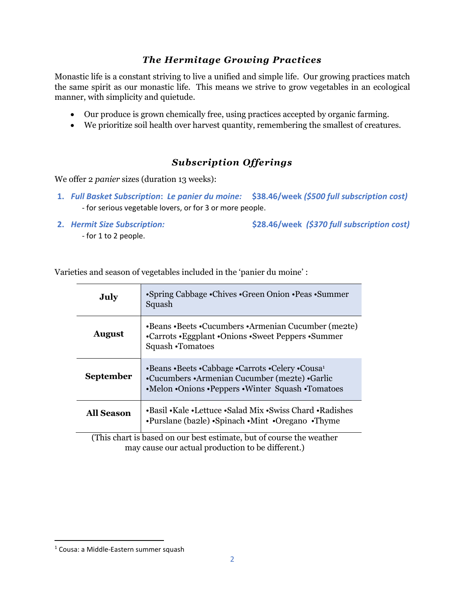#### *The Hermitage Growing Practices*

Monastic life is a constant striving to live a unified and simple life. Our growing practices match the same spirit as our monastic life. This means we strive to grow vegetables in an ecological manner, with simplicity and quietude.

- Our produce is grown chemically free, using practices accepted by organic farming.
- We prioritize soil health over harvest quantity, remembering the smallest of creatures.

#### *Subscription Offerings*

We offer 2 *panier* sizes (duration 13 weeks):

- **1.** *Full Basket Subscription***:** *Le panier du moine:* **\$38.46/week** *(\$500 full subscription cost)* - for serious vegetable lovers, or for 3 or more people.
- 

**2.** *Hermit Size Subscription:* **\$28.46/week** *(\$370 full subscription cost)* 

*-* for 1 to 2 people.

| $\epsilon$ and season of vegetables included in the pather du mome.  |                                                                                                                                                                  |  |  |
|----------------------------------------------------------------------|------------------------------------------------------------------------------------------------------------------------------------------------------------------|--|--|
| July                                                                 | •Spring Cabbage •Chives •Green Onion •Peas •Summer<br>Squash                                                                                                     |  |  |
| <b>August</b>                                                        | •Beans •Beets •Cucumbers •Armenian Cucumber (me2te)<br>•Carrots • Eggplant • Onions • Sweet Peppers • Summer<br>Squash •Tomatoes                                 |  |  |
| <b>September</b>                                                     | •Beans •Beets •Cabbage •Carrots •Celery •Cousa <sup>1</sup><br>•Cucumbers •Armenian Cucumber (me2te) •Garlic<br>•Melon •Onions •Peppers •Winter Squash •Tomatoes |  |  |
| <b>All Season</b>                                                    | •Basil •Kale •Lettuce •Salad Mix •Swiss Chard •Radishes<br>•Purslane (ba2le) •Spinach •Mint •Oregano •Thyme                                                      |  |  |
| (This chart is based on our best estimate, but of course the weather |                                                                                                                                                                  |  |  |
| may cause our actual production to be different.)                    |                                                                                                                                                                  |  |  |

Varieties and season of vegetables included in the 'panier du moine'  $\cdot$ 

<sup>1</sup> Cousa: a Middle-Eastern summer squash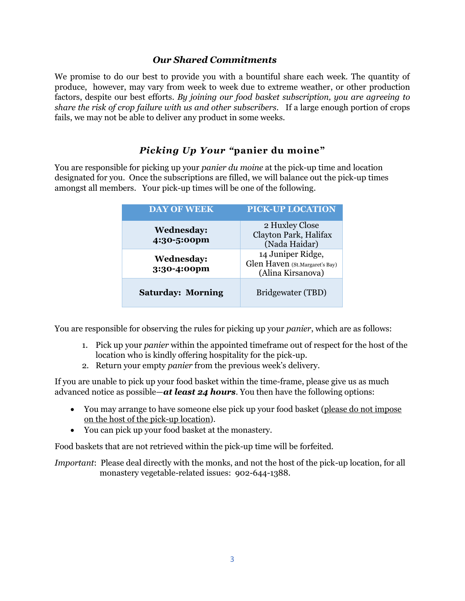#### *Our Shared Commitments*

We promise to do our best to provide you with a bountiful share each week. The quantity of produce, however, may vary from week to week due to extreme weather, or other production factors, despite our best efforts. *By joining our food basket subscription, you are agreeing to share the risk of crop failure with us and other subscribers*. If a large enough portion of crops fails, we may not be able to deliver any product in some weeks.

#### *Picking Up Your "***panier du moine"**

You are responsible for picking up your *panier du moine* at the pick-up time and location designated for you. Once the subscriptions are filled, we will balance out the pick-up times amongst all members. Your pick-up times will be one of the following.

| <b>DAY OF WEEK</b>               | <b>PICK-UP LOCATION</b>                                                  |  |
|----------------------------------|--------------------------------------------------------------------------|--|
| <b>Wednesday:</b><br>4:30-5:00pm | 2 Huxley Close<br>Clayton Park, Halifax<br>(Nada Haidar)                 |  |
| <b>Wednesday:</b><br>3:30-4:00pm | 14 Juniper Ridge,<br>Glen Haven (St.Margaret's Bay)<br>(Alina Kirsanova) |  |
| <b>Saturday: Morning</b>         | Bridgewater (TBD)                                                        |  |

You are responsible for observing the rules for picking up your *panier*, which are as follows:

- 1. Pick up your *panier* within the appointed timeframe out of respect for the host of the location who is kindly offering hospitality for the pick-up.
- 2. Return your empty *panier* from the previous week's delivery.

If you are unable to pick up your food basket within the time-frame, please give us as much advanced notice as possible—*at least 24 hours*. You then have the following options:

- You may arrange to have someone else pick up your food basket (please do not impose on the host of the pick-up location).
- You can pick up your food basket at the monastery.

Food baskets that are not retrieved within the pick-up time will be forfeited.

*Important*: Please deal directly with the monks, and not the host of the pick-up location, for all monastery vegetable-related issues: 902-644-1388.